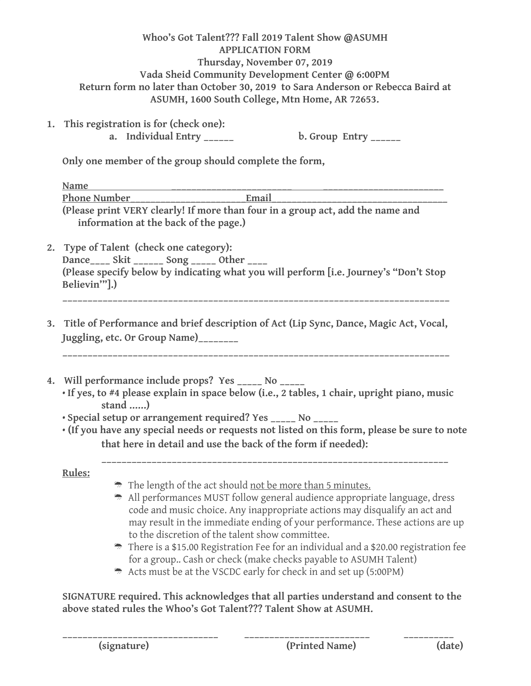| Whoo's Got Talent??? Fall 2019 Talent Show @ASUMH                               |
|---------------------------------------------------------------------------------|
| <b>APPLICATION FORM</b>                                                         |
| Thursday, November 07, 2019                                                     |
| Vada Sheid Community Development Center @ 6:00PM                                |
| Return form no later than October 30, 2019 to Sara Anderson or Rebecca Baird at |
| ASUMH, 1600 South College, Mtn Home, AR 72653.                                  |
|                                                                                 |
| is usedetuation is fou (sleeply ana).                                           |

**1. This registration is for (check one):** a. Individual Entry \_\_\_\_\_\_ b. Group Entry \_\_\_\_\_

**Only one member of the group should complete the form,**

| Name                                                                                                                              |                                                                                                                                                                                                                                                                                                                                                                                      |  |  |
|-----------------------------------------------------------------------------------------------------------------------------------|--------------------------------------------------------------------------------------------------------------------------------------------------------------------------------------------------------------------------------------------------------------------------------------------------------------------------------------------------------------------------------------|--|--|
| Phone Number                                                                                                                      | Email                                                                                                                                                                                                                                                                                                                                                                                |  |  |
| (Please print VERY clearly! If more than four in a group act, add the name and<br>information at the back of the page.)           |                                                                                                                                                                                                                                                                                                                                                                                      |  |  |
| 2. Type of Talent (check one category):                                                                                           |                                                                                                                                                                                                                                                                                                                                                                                      |  |  |
| Dance____ Skit ______ Song _____ Other ____                                                                                       |                                                                                                                                                                                                                                                                                                                                                                                      |  |  |
| Believin"].)                                                                                                                      | (Please specify below by indicating what you will perform [i.e. Journey's "Don't Stop                                                                                                                                                                                                                                                                                                |  |  |
| 3. Title of Performance and brief description of Act (Lip Sync, Dance, Magic Act, Vocal,<br>Juggling, etc. Or Group Name)________ |                                                                                                                                                                                                                                                                                                                                                                                      |  |  |
| stand )                                                                                                                           | 4. Will performance include props? Yes _____ No _____<br>· If yes, to #4 please explain in space below (i.e., 2 tables, 1 chair, upright piano, music<br>· Special setup or arrangement required? Yes _____ No _____<br>· (If you have any special needs or requests not listed on this form, please be sure to note<br>that here in detail and use the back of the form if needed): |  |  |
| Rules:                                                                                                                            |                                                                                                                                                                                                                                                                                                                                                                                      |  |  |
|                                                                                                                                   | The length of the act should not be more than 5 minutes.<br>All performances MUST follow general audience appropriate language, dress<br>code and music choice. Any inappropriate actions may disqualify an act and<br>may result in the immediate ending of your performance. These actions are up<br>to the discretion of the talent show committee.                               |  |  |

Acts must be at the VSCDC early for check in and set up (5:00PM)

**SIGNATURE required. This acknowledges that all parties understand and consent to the above stated rules the Whoo's Got Talent??? Talent Show at ASUMH.**